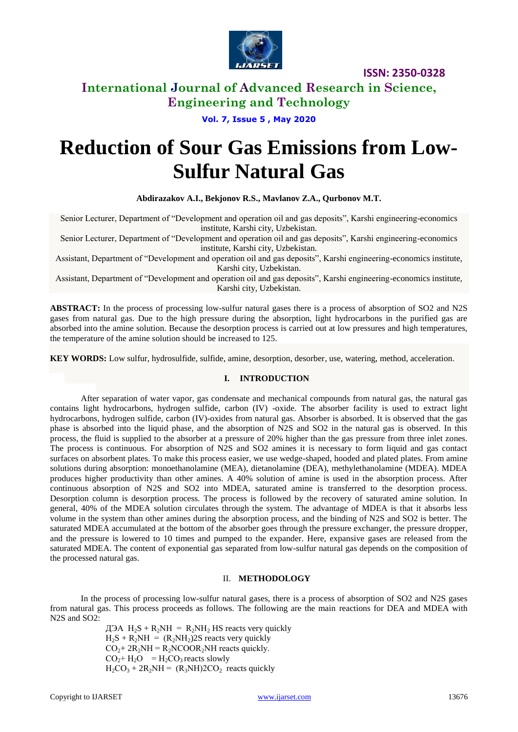

**ISSN: 2350-0328**

## **International Journal of Advanced Research in Science, Engineering and Technology**

## **Vol. 7, Issue 5 , May 2020**

# **Reduction of Sour Gas Emissions from Low-Sulfur Natural Gas**

**Abdirazakov A.I., Bekjonov R.S., Mavlanov Z.A., Qurbonov M.T.**

Senior Lecturer, Department of "Development and operation oil and gas deposits", Karshi engineering-economics institute, Karshi city, Uzbekistan.

Senior Lecturer, Department of "Development and operation oil and gas deposits", Karshi engineering-economics institute, Karshi city, Uzbekistan.

Assistant, Department of "Development and operation oil and gas deposits", Karshi engineering-economics institute, Karshi city, Uzbekistan.

Assistant, Department of "Development and operation oil and gas deposits", Karshi engineering-economics institute, Karshi city, Uzbekistan.

**ABSTRACT:** In the process of processing low-sulfur natural gases there is a process of absorption of SO2 and N2S gases from natural gas. Due to the high pressure during the absorption, light hydrocarbons in the purified gas are absorbed into the amine solution. Because the desorption process is carried out at low pressures and high temperatures, the temperature of the amine solution should be increased to 125.

**KEY WORDS:** Low sulfur, hydrosulfide, sulfide, amine, desorption, desorber, use, watering, method, acceleration.

#### **I. INTRODUCTION**

After separation of water vapor, gas condensate and mechanical compounds from natural gas, the natural gas contains light hydrocarbons, hydrogen sulfide, carbon (IV) -oxide. The absorber facility is used to extract light hydrocarbons, hydrogen sulfide, carbon (IV)-oxides from natural gas. Absorber is absorbed. It is observed that the gas phase is absorbed into the liquid phase, and the absorption of N2S and SO2 in the natural gas is observed. In this process, the fluid is supplied to the absorber at a pressure of 20% higher than the gas pressure from three inlet zones. The process is continuous. For absorption of N2S and SO2 amines it is necessary to form liquid and gas contact surfaces on absorbent plates. To make this process easier, we use wedge-shaped, hooded and plated plates. From amine solutions during absorption: monoethanolamine (MEA), dietanolamine (DEA), methylethanolamine (MDEA). MDEA produces higher productivity than other amines. A 40% solution of amine is used in the absorption process. After continuous absorption of N2S and SO2 into MDEA, saturated amine is transferred to the desorption process. Desorption column is desorption process. The process is followed by the recovery of saturated amine solution. In general, 40% of the MDEA solution circulates through the system. The advantage of MDEA is that it absorbs less volume in the system than other amines during the absorption process, and the binding of N2S and SO2 is better. The saturated MDEA accumulated at the bottom of the absorber goes through the pressure exchanger, the pressure dropper, and the pressure is lowered to 10 times and pumped to the expander. Here, expansive gases are released from the saturated MDEA. The content of exponential gas separated from low-sulfur natural gas depends on the composition of the processed natural gas.

#### II. **METHODOLOGY**

In the process of processing low-sulfur natural gases, there is a process of absorption of SO2 and N2S gases from natural gas. This process proceeds as follows. The following are the main reactions for DEA and MDEA with N<sub>2S</sub> and SO<sub>2</sub>:

> $\text{J} \Theta A \text{ H}_2 \text{S} + \text{R}_2 \text{N} \text{H} = \text{R}_2 \text{N} \text{H}_2 \text{H} \text{S}$  reacts very quickly  $H_2S + R_2NH = (R_2NH_2)2S$  reacts very quickly  $CO<sub>2</sub>+ 2R<sub>2</sub>NH = R<sub>2</sub>NCOOR<sub>2</sub>NH$  reacts quickly.  $CO<sub>2</sub> + H<sub>2</sub>O = H<sub>2</sub>CO<sub>3</sub>$  reacts slowly  $H_2CO_3 + 2R_2NH = (R_3NH)2CO_2$  reacts quickly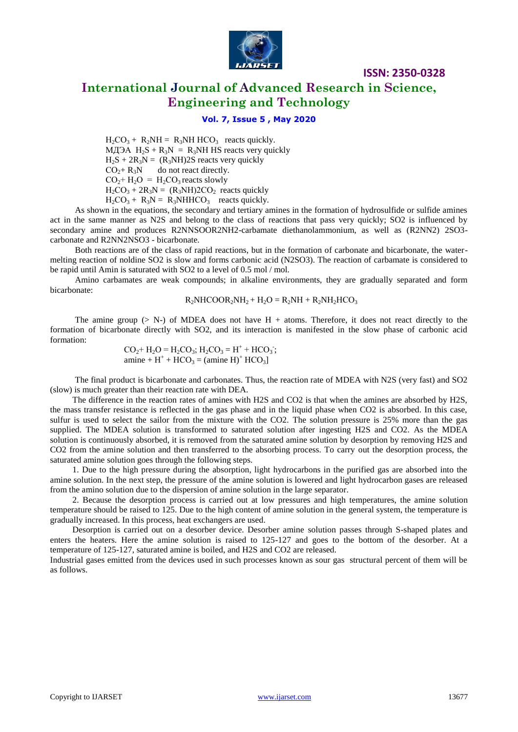

# **International Journal of Advanced Research in Science, Engineering and Technology**

**ISSN: 2350-0328**

### **Vol. 7, Issue 5 , May 2020**

 $H_2CO_3 + R_2NH = R_3NH HCO_3$  reacts quickly. МДЭА  $H_2S + R_3N = R_3NH$  HS reacts very quickly  $H_2S + 2R_3N = (R_3NH)2S$  reacts very quickly  $CO<sub>2</sub> + R<sub>3</sub>N$  do not react directly.  $CO<sub>2</sub> + H<sub>2</sub>O = H<sub>2</sub>CO<sub>3</sub>$  reacts slowly  $H_2CO_3 + 2R_3N = (R_3NH)2CO_2$  reacts quickly  $H_2CO_3 + R_3N = R_3NHHCO_3$  reacts quickly.

As shown in the equations, the secondary and tertiary amines in the formation of hydrosulfide or sulfide amines act in the same manner as N2S and belong to the class of reactions that pass very quickly; SO2 is influenced by secondary amine and produces R2NNSOOR2NH2-carbamate diethanolammonium, as well as (R2NN2) 2SO3 carbonate and R2NN2NSO3 - bicarbonate.

Both reactions are of the class of rapid reactions, but in the formation of carbonate and bicarbonate, the watermelting reaction of noldine SO2 is slow and forms carbonic acid (N2SO3). The reaction of carbamate is considered to be rapid until Amin is saturated with SO2 to a level of 0.5 mol / mol.

Amino carbamates are weak compounds; in alkaline environments, they are gradually separated and form bicarbonate:

#### $R_2NHCOOR_2NH_2 + H_2O = R_2NH + R_2NH_2HCO_3$

The amine group ( $> N$ -) of MDEA does not have H + atoms. Therefore, it does not react directly to the formation of bicarbonate directly with SO2, and its interaction is manifested in the slow phase of carbonic acid formation:

 $CO_2^+$  H<sub>2</sub>O = H<sub>2</sub>CO<sub>3</sub>; H<sub>2</sub>CO<sub>3</sub> = H<sup>+</sup> + HCO<sub>3</sub>; amine +  $H^+$  + HCO<sub>3</sub> = (amine H)<sup>+</sup> HCO<sub>3</sub>]

The final product is bicarbonate and carbonates. Thus, the reaction rate of MDEA with N2S (very fast) and SO2 (slow) is much greater than their reaction rate with DEA.

The difference in the reaction rates of amines with H2S and CO2 is that when the amines are absorbed by H2S, the mass transfer resistance is reflected in the gas phase and in the liquid phase when CO2 is absorbed. In this case, sulfur is used to select the sailor from the mixture with the CO2. The solution pressure is 25% more than the gas supplied. The MDEA solution is transformed to saturated solution after ingesting H2S and CO2. As the MDEA solution is continuously absorbed, it is removed from the saturated amine solution by desorption by removing H2S and CO2 from the amine solution and then transferred to the absorbing process. To carry out the desorption process, the saturated amine solution goes through the following steps.

1. Due to the high pressure during the absorption, light hydrocarbons in the purified gas are absorbed into the amine solution. In the next step, the pressure of the amine solution is lowered and light hydrocarbon gases are released from the amino solution due to the dispersion of amine solution in the large separator.

2. Because the desorption process is carried out at low pressures and high temperatures, the amine solution temperature should be raised to 125. Due to the high content of amine solution in the general system, the temperature is gradually increased. In this process, heat exchangers are used.

Desorption is carried out on a desorber device. Desorber amine solution passes through S-shaped plates and enters the heaters. Here the amine solution is raised to 125-127 and goes to the bottom of the desorber. At a temperature of 125-127, saturated amine is boiled, and H2S and CO2 are released.

Industrial gases emitted from the devices used in such processes known as sour gas structural percent of them will be as follows.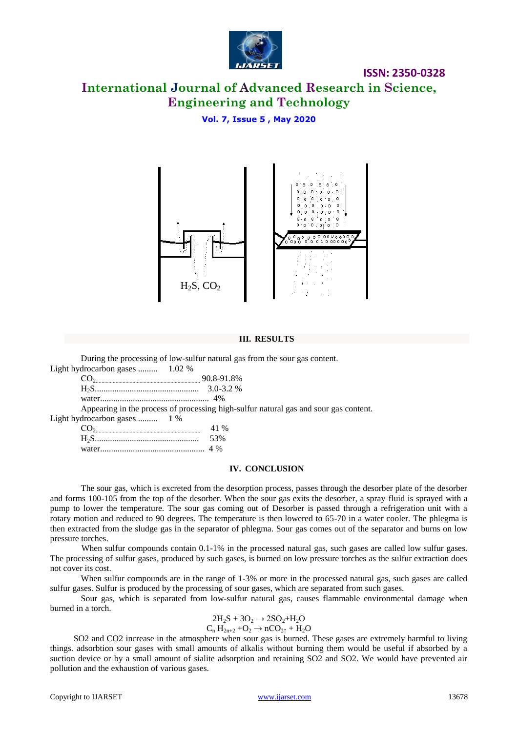

## **ISSN: 2350-0328**

# **International Journal of Advanced Research in Science, Engineering and Technology**

## **Vol. 7, Issue 5 , May 2020**



#### **III. RESULTS**

During the processing of low-sulfur natural gas from the sour gas content.

| Light hydrocarbon gases  1.02 %                                                      |  |
|--------------------------------------------------------------------------------------|--|
| $90.8-91.8\%$                                                                        |  |
|                                                                                      |  |
|                                                                                      |  |
| Appearing in the process of processing high-sulfur natural gas and sour gas content. |  |
| Light hydrocarbon gases  1 %                                                         |  |
| 41 %                                                                                 |  |
| 53%                                                                                  |  |

|  | . |
|--|---|
|  |   |

#### **IV. CONCLUSION**

The sour gas, which is excreted from the desorption process, passes through the desorber plate of the desorber and forms 100-105 from the top of the desorber. When the sour gas exits the desorber, a spray fluid is sprayed with a pump to lower the temperature. The sour gas coming out of Desorber is passed through a refrigeration unit with a rotary motion and reduced to 90 degrees. The temperature is then lowered to 65-70 in a water cooler. The phlegma is then extracted from the sludge gas in the separator of phlegma. Sour gas comes out of the separator and burns on low pressure torches.

When sulfur compounds contain 0.1-1% in the processed natural gas, such gases are called low sulfur gases. The processing of sulfur gases, produced by such gases, is burned on low pressure torches as the sulfur extraction does not cover its cost.

When sulfur compounds are in the range of 1-3% or more in the processed natural gas, such gases are called sulfur gases. Sulfur is produced by the processing of sour gases, which are separated from such gases.

Sour gas, which is separated from low-sulfur natural gas, causes flammable environmental damage when burned in a torch.

$$
2H_2S + 3O_2 \rightarrow 2SO_2 + H_2O
$$
  
C<sub>n</sub> H<sub>2n+2</sub> + O<sub>2</sub>  $\rightarrow$  nCO<sub>21</sub> + H<sub>2</sub>O

SO2 and CO2 increase in the atmosphere when sour gas is burned. These gases are extremely harmful to living things. adsorbtion sour gases with small amounts of alkalis without burning them would be useful if absorbed by a suction device or by a small amount of sialite adsorption and retaining SO2 and SO2. We would have prevented air pollution and the exhaustion of various gases.